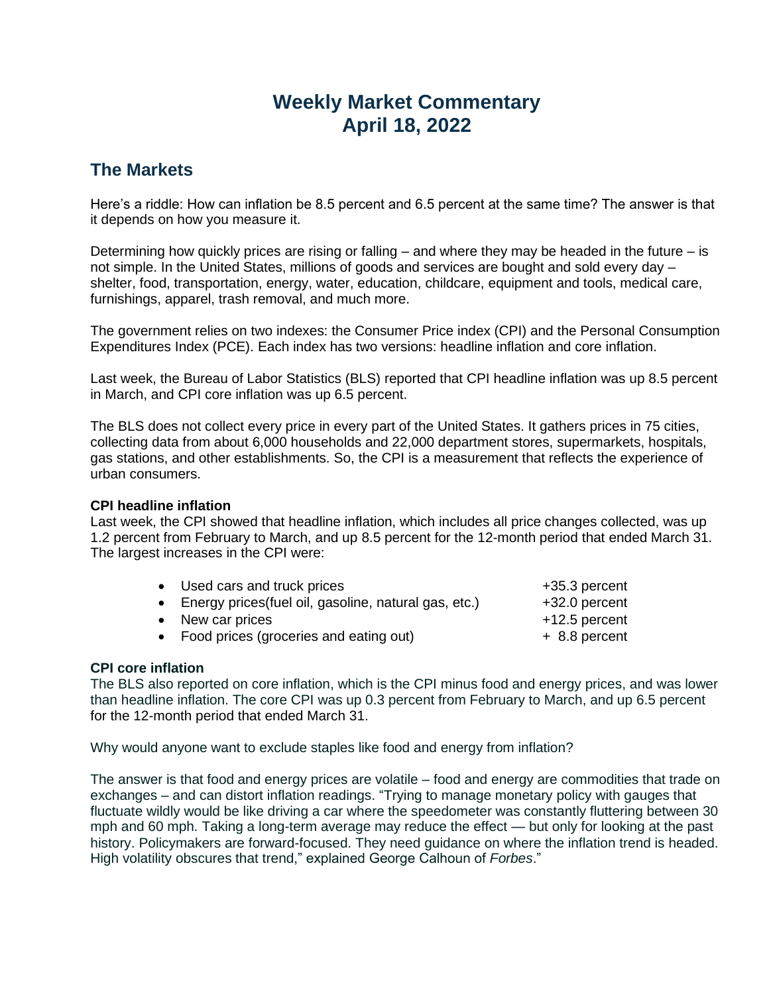# **Weekly Market Commentary April 18, 2022**

### **The Markets**

Here's a riddle: How can inflation be 8.5 percent and 6.5 percent at the same time? The answer is that it depends on how you measure it.

Determining how quickly prices are rising or falling  $-$  and where they may be headed in the future  $-$  is not simple. In the United States, millions of goods and services are bought and sold every day – shelter, food, transportation, energy, water, education, childcare, equipment and tools, medical care, furnishings, apparel, trash removal, and much more.

The government relies on two indexes: the Consumer Price index (CPI) and the Personal Consumption Expenditures Index (PCE). Each index has two versions: headline inflation and core inflation.

Last week, the Bureau of Labor Statistics (BLS) reported that CPI headline inflation was up 8.5 percent in March, and CPI core inflation was up 6.5 percent.

The BLS does not collect every price in every part of the United States. It gathers prices in 75 cities, collecting data from about 6,000 households and 22,000 department stores, supermarkets, hospitals, gas stations, and other establishments. So, the CPI is a measurement that reflects the experience of urban consumers.

#### **CPI headline inflation**

Last week, the CPI showed that headline inflation, which includes all price changes collected, was up 1.2 percent from February to March, and up 8.5 percent for the 12-month period that ended March 31. The largest increases in the CPI were:

| • Used cars and truck prices                            | +35.3 percent   |
|---------------------------------------------------------|-----------------|
| • Energy prices (fuel oil, gasoline, natural gas, etc.) | +32.0 percent   |
| • New car prices                                        | $+12.5$ percent |
| • Food prices (groceries and eating out)                | $+8.8$ percent  |
|                                                         |                 |

#### **CPI core inflation**

The BLS also reported on core inflation, which is the CPI minus food and energy prices, and was lower than headline inflation. The core CPI was up 0.3 percent from February to March, and up 6.5 percent for the 12-month period that ended March 31.

Why would anyone want to exclude staples like food and energy from inflation?

The answer is that food and energy prices are volatile – food and energy are commodities that trade on exchanges – and can distort inflation readings. "Trying to manage monetary policy with gauges that fluctuate wildly would be like driving a car where the speedometer was constantly fluttering between 30 mph and 60 mph. Taking a long-term average may reduce the effect — but only for looking at the past history. Policymakers are forward-focused. They need guidance on where the inflation trend is headed. High volatility obscures that trend," explained George Calhoun of *Forbes*."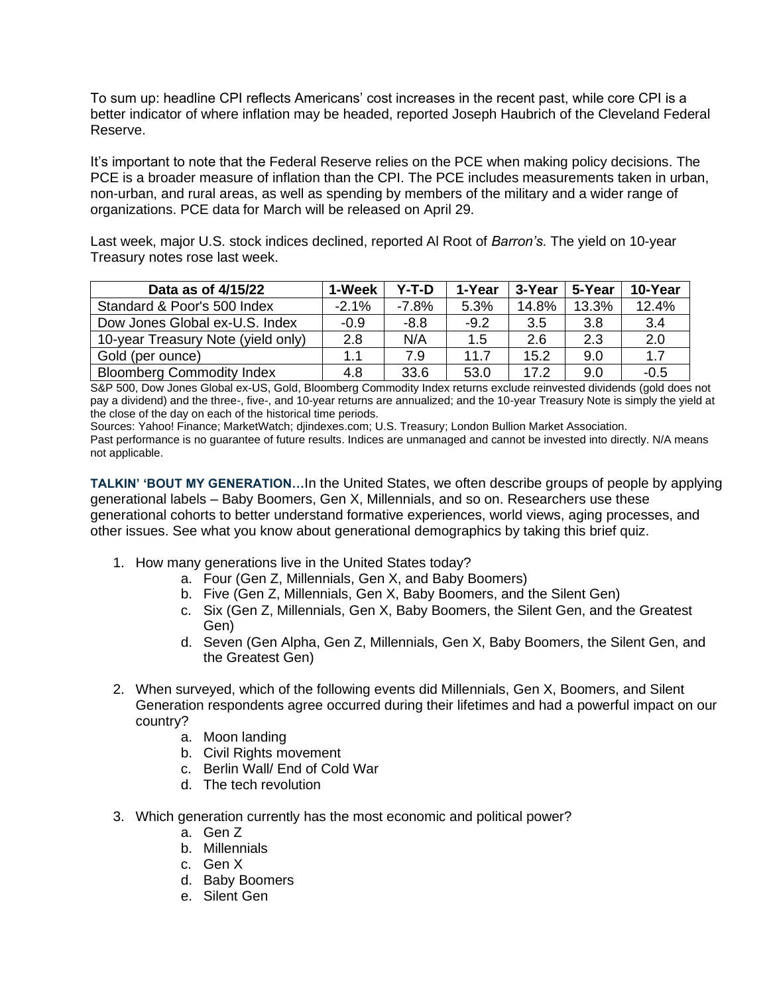To sum up: headline CPI reflects Americans' cost increases in the recent past, while core CPI is a better indicator of where inflation may be headed, reported Joseph Haubrich of the Cleveland Federal Reserve.

It's important to note that the Federal Reserve relies on the PCE when making policy decisions. The PCE is a broader measure of inflation than the CPI. The PCE includes measurements taken in urban, non-urban, and rural areas, as well as spending by members of the military and a wider range of organizations. PCE data for March will be released on April 29.

Last week, major U.S. stock indices declined, reported Al Root of *Barron's*. The yield on 10-year Treasury notes rose last week.

| Data as of 4/15/22                 | 1-Week  | Y-T-D   | 1-Year | 3-Year | 5-Year | 10-Year |
|------------------------------------|---------|---------|--------|--------|--------|---------|
| Standard & Poor's 500 Index        | $-2.1%$ | $-7.8%$ | 5.3%   | 14.8%  | 13.3%  | 12.4%   |
| Dow Jones Global ex-U.S. Index     | $-0.9$  | $-8.8$  | $-9.2$ | 3.5    | 3.8    | 3.4     |
| 10-year Treasury Note (yield only) | 2.8     | N/A     | 1.5    | 2.6    | 2.3    | 2.0     |
| Gold (per ounce)                   | 1.1     | 7.9     | 11.7   | 15.2   | 9.0    | 1.7     |
| <b>Bloomberg Commodity Index</b>   | 4.8     | 33.6    | 53.0   | 17.2   | 9.0    | $-0.5$  |

S&P 500, Dow Jones Global ex-US, Gold, Bloomberg Commodity Index returns exclude reinvested dividends (gold does not pay a dividend) and the three-, five-, and 10-year returns are annualized; and the 10-year Treasury Note is simply the yield at the close of the day on each of the historical time periods.

Sources: Yahoo! Finance; MarketWatch; djindexes.com; U.S. Treasury; London Bullion Market Association. Past performance is no guarantee of future results. Indices are unmanaged and cannot be invested into directly. N/A means not applicable.

**TALKIN' 'BOUT MY GENERATION…**In the United States, we often describe groups of people by applying generational labels – Baby Boomers, Gen X, Millennials, and so on. Researchers use these generational cohorts to better understand formative experiences, world views, aging processes, and other issues. See what you know about generational demographics by taking this brief quiz.

- 1. How many generations live in the United States today?
	- a. Four (Gen Z, Millennials, Gen X, and Baby Boomers)
	- b. Five (Gen Z, Millennials, Gen X, Baby Boomers, and the Silent Gen)
	- c. Six (Gen Z, Millennials, Gen X, Baby Boomers, the Silent Gen, and the Greatest Gen)
	- d. Seven (Gen Alpha, Gen Z, Millennials, Gen X, Baby Boomers, the Silent Gen, and the Greatest Gen)
- 2. When surveyed, which of the following events did Millennials, Gen X, Boomers, and Silent Generation respondents agree occurred during their lifetimes and had a powerful impact on our country?
	- a. Moon landing
	- b. Civil Rights movement
	- c. Berlin Wall/ End of Cold War
	- d. The tech revolution
- 3. Which generation currently has the most economic and political power?
	- a. Gen Z
	- b. Millennials
	- c. Gen X
	- d. Baby Boomers
	- e. Silent Gen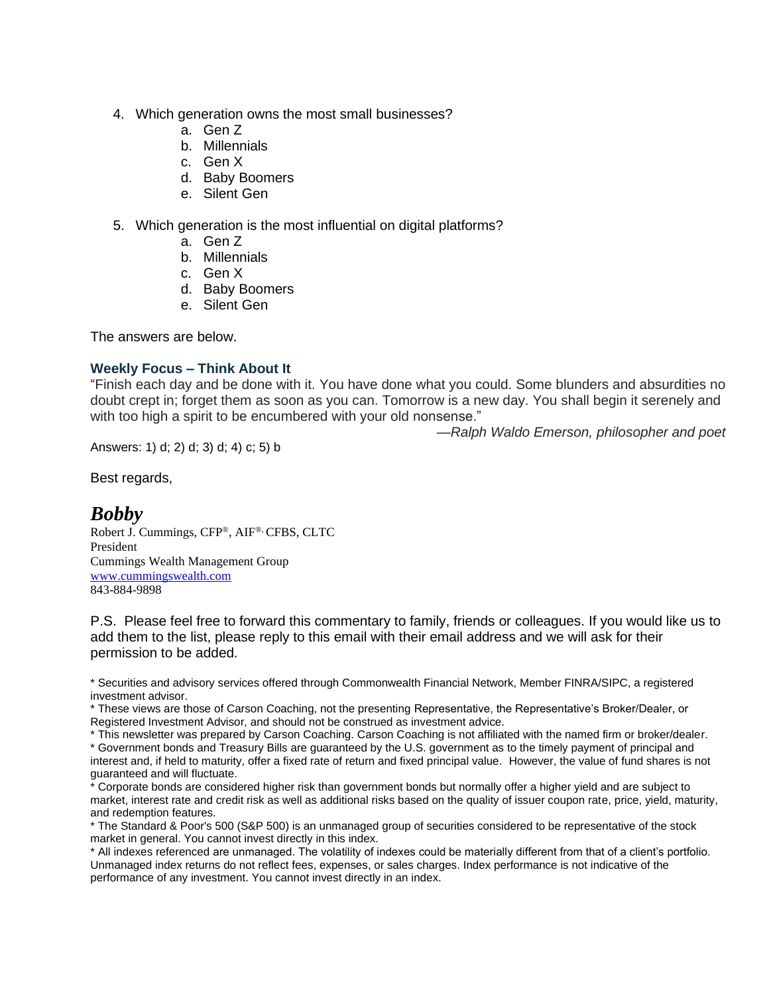- 4. Which generation owns the most small businesses?
	- a. Gen Z
	- b. Millennials
	- c. Gen X
	- d. Baby Boomers
	- e. Silent Gen
- 5. Which generation is the most influential on digital platforms?
	- a. Gen Z
	- b. Millennials
	- c. Gen X
	- d. Baby Boomers
	- e. Silent Gen

The answers are below.

#### **Weekly Focus – Think About It**

"Finish each day and be done with it. You have done what you could. Some blunders and absurdities no doubt crept in; forget them as soon as you can. Tomorrow is a new day. You shall begin it serenely and with too high a spirit to be encumbered with your old nonsense."

*—Ralph Waldo Emerson, philosopher and poet*

Answers: 1) d; 2) d; 3) d; 4) c; 5) b

Best regards,

## *Bobby*

Robert J. Cummings, CFP®, AIF®, CFBS, CLTC President Cummings Wealth Management Group [www.cummingswealth.com](http://www.cummingswealth.com/) 843-884-9898

P.S. Please feel free to forward this commentary to family, friends or colleagues. If you would like us to add them to the list, please reply to this email with their email address and we will ask for their permission to be added.

\* Securities and advisory services offered through Commonwealth Financial Network, Member FINRA/SIPC, a registered investment advisor.

\* These views are those of Carson Coaching, not the presenting Representative, the Representative's Broker/Dealer, or Registered Investment Advisor, and should not be construed as investment advice.

\* This newsletter was prepared by Carson Coaching. Carson Coaching is not affiliated with the named firm or broker/dealer.

\* Government bonds and Treasury Bills are guaranteed by the U.S. government as to the timely payment of principal and interest and, if held to maturity, offer a fixed rate of return and fixed principal value. However, the value of fund shares is not guaranteed and will fluctuate.

\* Corporate bonds are considered higher risk than government bonds but normally offer a higher yield and are subject to market, interest rate and credit risk as well as additional risks based on the quality of issuer coupon rate, price, yield, maturity, and redemption features.

\* The Standard & Poor's 500 (S&P 500) is an unmanaged group of securities considered to be representative of the stock market in general. You cannot invest directly in this index.

\* All indexes referenced are unmanaged. The volatility of indexes could be materially different from that of a client's portfolio. Unmanaged index returns do not reflect fees, expenses, or sales charges. Index performance is not indicative of the performance of any investment. You cannot invest directly in an index.